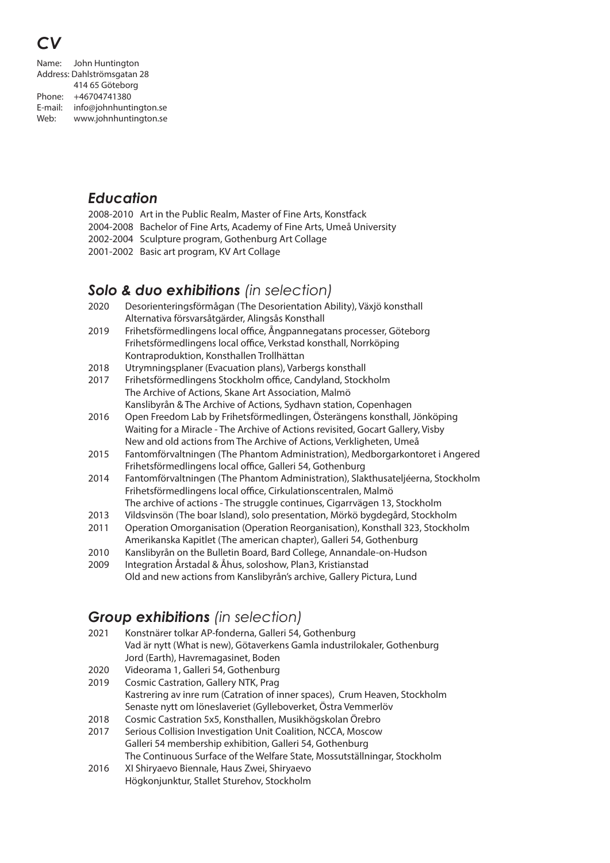# *CV*

Name: John Huntington Address: Dahlströmsgatan 28 414 65 Göteborg Phone: +46704741380 E-mail: info@johnhuntington.se Web: www.johnhuntington.se

# *Education*

2008-2010 Art in the Public Realm, Master of Fine Arts, Konstfack 2004-2008 Bachelor of Fine Arts, Academy of Fine Arts, Umeå University 2002-2004 Sculpture program, Gothenburg Art Collage 2001-2002 Basic art program, KV Art Collage

# *Solo & duo exhibitions (in selection)*

| 2020 | Desorienteringsförmågan (The Desorientation Ability), Växjö konsthall |
|------|-----------------------------------------------------------------------|
|      | Alternativa försvarsåtgärder, Alingsås Konsthall                      |
| 2010 | Eribeteförmedlingens local office Ångnannegatans prosesser Göteberg   |

- 2019 Frihetsförmedlingens local office, Ångpannegatans processer, Göteborg Frihetsförmedlingens local office, Verkstad konsthall, Norrköping Kontraproduktion, Konsthallen Trollhättan
- 2018 Utrymningsplaner (Evacuation plans), Varbergs konsthall
- 2017 Frihetsförmedlingens Stockholm office, Candyland, Stockholm The Archive of Actions, Skane Art Association, Malmö Kanslibyrån & The Archive of Actions, Sydhavn station, Copenhagen
- 2016 Open Freedom Lab by Frihetsförmedlingen, Österängens konsthall, Jönköping Waiting for a Miracle - The Archive of Actions revisited, Gocart Gallery, Visby New and old actions from The Archive of Actions, Verkligheten, Umeå
- 2015 Fantomförvaltningen (The Phantom Administration), Medborgarkontoret i Angered Frihetsförmedlingens local office, Galleri 54, Gothenburg
- 2014 Fantomförvaltningen (The Phantom Administration), Slakthusateljéerna, Stockholm Frihetsförmedlingens local office, Cirkulationscentralen, Malmö The archive of actions - The struggle continues, Cigarrvägen 13, Stockholm
- 2013 Vildsvinsön (The boar Island), solo presentation, Mörkö bygdegård, Stockholm
- 2011 Operation Omorganisation (Operation Reorganisation), Konsthall 323, Stockholm Amerikanska Kapitlet (The american chapter), Galleri 54, Gothenburg
- 2010 Kanslibyrån on the Bulletin Board, Bard College, Annandale-on-Hudson
- 2009 Integration Årstadal & Åhus, soloshow, Plan3, Kristianstad Old and new actions from Kanslibyrån's archive, Gallery Pictura, Lund

## *Group exhibitions (in selection)*

- 2021 Konstnärer tolkar AP-fonderna, Galleri 54, Gothenburg Vad är nytt (What is new), Götaverkens Gamla industrilokaler, Gothenburg Jord (Earth), Havremagasinet, Boden
- 2020 Videorama 1, Galleri 54, Gothenburg
- 2019 Cosmic Castration, Gallery NTK, Prag Kastrering av inre rum (Catration of inner spaces), Crum Heaven, Stockholm Senaste nytt om löneslaveriet (Gylleboverket, Östra Vemmerlöv
- 2018 Cosmic Castration 5x5, Konsthallen, Musikhögskolan Örebro
- 2017 Serious Collision Investigation Unit Coalition, NCCA, Moscow Galleri 54 membership exhibition, Galleri 54, Gothenburg The Continuous Surface of the Welfare State, Mossutställningar, Stockholm
- 2016 XI Shiryaevo Biennale, Haus Zwei, Shiryaevo Högkonjunktur, Stallet Sturehov, Stockholm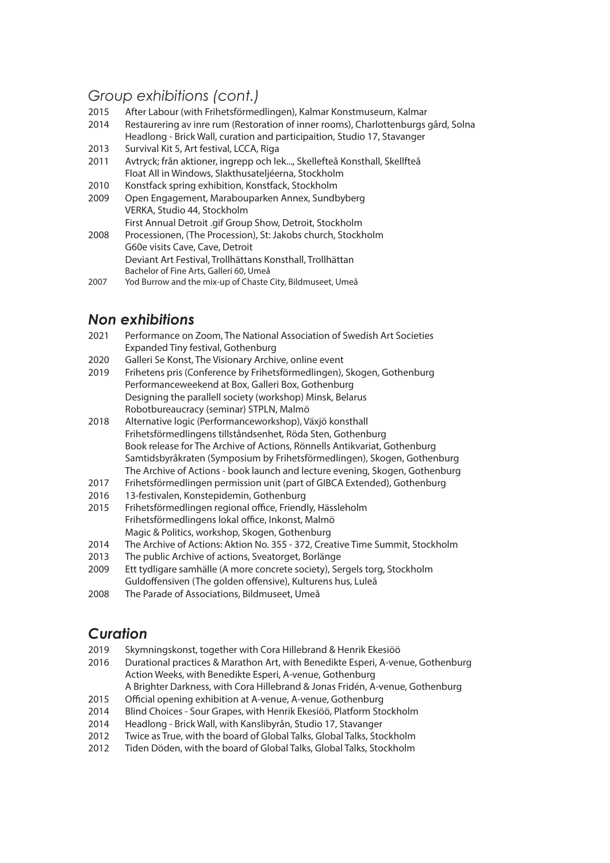#### *Group exhibitions (cont.)*

- 2015 After Labour (with Frihetsförmedlingen), Kalmar Konstmuseum, Kalmar
- 2014 Restaurering av inre rum (Restoration of inner rooms), Charlottenburgs gård, Solna Headlong - Brick Wall, curation and participaition, Studio 17, Stavanger
- 2013 Survival Kit 5, Art festival, LCCA, Riga
- 2011 Avtryck; från aktioner, ingrepp och lek..., Skellefteå Konsthall, Skellfteå Float All in Windows, Slakthusateljéerna, Stockholm
- 2010 Konstfack spring exhibition, Konstfack, Stockholm
- 2009 Open Engagement, Marabouparken Annex, Sundbyberg VERKA, Studio 44, Stockholm First Annual Detroit .gif Group Show, Detroit, Stockholm
- 2008 Processionen, (The Procession), St: Jakobs church, Stockholm G60e visits Cave, Cave, Detroit Deviant Art Festival, Trollhättans Konsthall, Trollhättan Bachelor of Fine Arts, Galleri 60, Umeå
- 2007 Yod Burrow and the mix-up of Chaste City, Bildmuseet, Umeå

# *Non exhibitions*

- 2021 Performance on Zoom, The National Association of Swedish Art Societies Expanded Tiny festival, Gothenburg
- 2020 Galleri Se Konst, The Visionary Archive, online event
- 2019 Frihetens pris (Conference by Frihetsförmedlingen), Skogen, Gothenburg Performanceweekend at Box, Galleri Box, Gothenburg Designing the parallell society (workshop) Minsk, Belarus Robotbureaucracy (seminar) STPLN, Malmö
- 2018 Alternative logic (Performanceworkshop), Växjö konsthall Frihetsförmedlingens tillståndsenhet, Röda Sten, Gothenburg Book release for The Archive of Actions, Rönnells Antikvariat, Gothenburg Samtidsbyråkraten (Symposium by Frihetsförmedlingen), Skogen, Gothenburg The Archive of Actions - book launch and lecture evening, Skogen, Gothenburg
- 2017 Frihetsförmedlingen permission unit (part of GIBCA Extended), Gothenburg
- 2016 13-festivalen, Konstepidemin, Gothenburg
- 2015 Frihetsförmedlingen regional office, Friendly, Hässleholm Frihetsförmedlingens lokal office, Inkonst, Malmö Magic & Politics, workshop, Skogen, Gothenburg
- 2014 The Archive of Actions: Aktion No. 355 372, Creative Time Summit, Stockholm
- 2013 The public Archive of actions, Sveatorget, Borlänge
- 2009 Ett tydligare samhälle (A more concrete society), Sergels torg, Stockholm
- Guldoffensiven (The golden offensive), Kulturens hus, Luleå
- 2008 The Parade of Associations, Bildmuseet, Umeå

#### *Curation*

- 2019 Skymningskonst, together with Cora Hillebrand & Henrik Ekesiöö
- 2016 Durational practices & Marathon Art, with Benedikte Esperi, A-venue, Gothenburg Action Weeks, with Benedikte Esperi, A-venue, Gothenburg
	- A Brighter Darkness, with Cora Hillebrand & Jonas Fridén, A-venue, Gothenburg
- 2015 Official opening exhibition at A-venue, A-venue, Gothenburg
- 2014 Blind Choices Sour Grapes, with Henrik Ekesiöö, Platform Stockholm
- 2014 Headlong Brick Wall, with Kanslibyrån, Studio 17, Stavanger
- 2012 Twice as True, with the board of Global Talks, Global Talks, Stockholm
- 2012 Tiden Döden, with the board of Global Talks, Global Talks, Stockholm